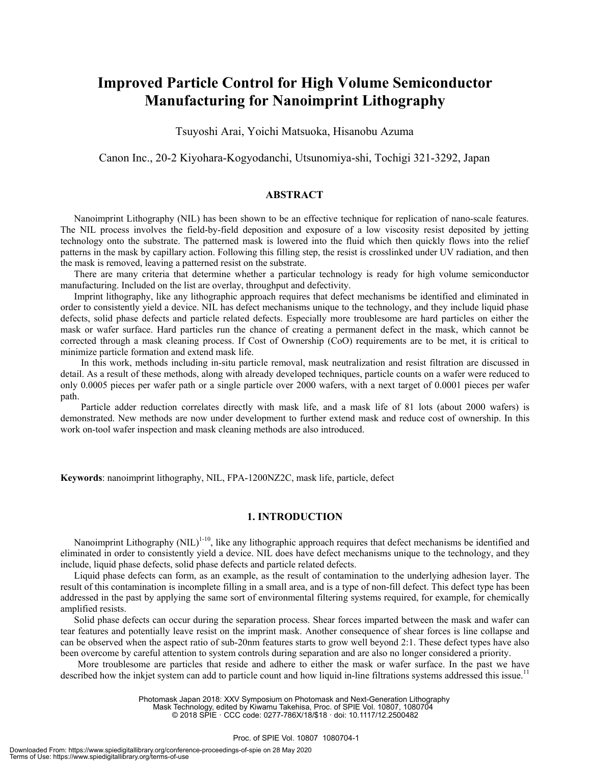# **Improved Particle Control for High Volume Semiconductor Manufacturing for Nanoimprint Lithography**

Tsuyoshi Arai, Yoichi Matsuoka, Hisanobu Azuma

Canon Inc., 20-2 Kiyohara-Kogyodanchi, Utsunomiya-shi, Tochigi 321-3292, Japan

### **ABSTRACT**

Nanoimprint Lithography (NIL) has been shown to be an effective technique for replication of nano-scale features. The NIL process involves the field-by-field deposition and exposure of a low viscosity resist deposited by jetting technology onto the substrate. The patterned mask is lowered into the fluid which then quickly flows into the relief patterns in the mask by capillary action. Following this filling step, the resist is crosslinked under UV radiation, and then the mask is removed, leaving a patterned resist on the substrate.

There are many criteria that determine whether a particular technology is ready for high volume semiconductor manufacturing. Included on the list are overlay, throughput and defectivity.

Imprint lithography, like any lithographic approach requires that defect mechanisms be identified and eliminated in order to consistently yield a device. NIL has defect mechanisms unique to the technology, and they include liquid phase defects, solid phase defects and particle related defects. Especially more troublesome are hard particles on either the mask or wafer surface. Hard particles run the chance of creating a permanent defect in the mask, which cannot be corrected through a mask cleaning process. If Cost of Ownership (CoO) requirements are to be met, it is critical to minimize particle formation and extend mask life.

In this work, methods including in-situ particle removal, mask neutralization and resist filtration are discussed in detail. As a result of these methods, along with already developed techniques, particle counts on a wafer were reduced to only 0.0005 pieces per wafer path or a single particle over 2000 wafers, with a next target of 0.0001 pieces per wafer path.

Particle adder reduction correlates directly with mask life, and a mask life of 81 lots (about 2000 wafers) is demonstrated. New methods are now under development to further extend mask and reduce cost of ownership. In this work on-tool wafer inspection and mask cleaning methods are also introduced.

**Keywords**: nanoimprint lithography, NIL, FPA-1200NZ2C, mask life, particle, defect

## **1. INTRODUCTION**

Nanoimprint Lithography  $(NIL)^{1-10}$ , like any lithographic approach requires that defect mechanisms be identified and eliminated in order to consistently yield a device. NIL does have defect mechanisms unique to the technology, and they include, liquid phase defects, solid phase defects and particle related defects.

Liquid phase defects can form, as an example, as the result of contamination to the underlying adhesion layer. The result of this contamination is incomplete filling in a small area, and is a type of non-fill defect. This defect type has been addressed in the past by applying the same sort of environmental filtering systems required, for example, for chemically amplified resists.

Solid phase defects can occur during the separation process. Shear forces imparted between the mask and wafer can tear features and potentially leave resist on the imprint mask. Another consequence of shear forces is line collapse and can be observed when the aspect ratio of sub-20nm features starts to grow well beyond 2:1. These defect types have also been overcome by careful attention to system controls during separation and are also no longer considered a priority.

More troublesome are particles that reside and adhere to either the mask or wafer surface. In the past we have described how the inkjet system can add to particle count and how liquid in-line filtrations systems addressed this issue.<sup>11</sup>

Photomask Japan 2018: XXV Symposium on Photomask and Next-Generation Lithography

Mask Technology, edited by Kiwamu Takehisa, Proc. of SPIE Vol. 10807, 1080704 © 2018 SPIE · CCC code: 0277-786X/18/\$18 · doi: 10.1117/12.2500482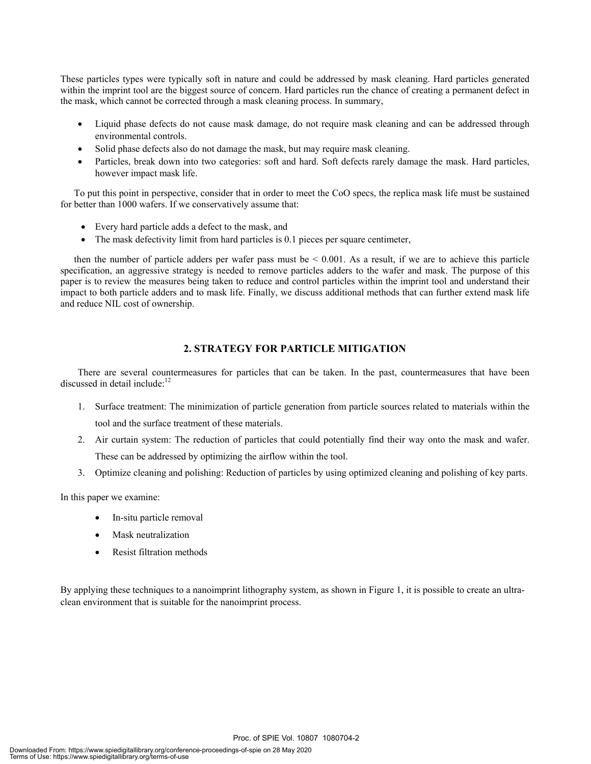These particles types were typically soft in nature and could be addressed by mask cleaning. Hard particles generated within the imprint tool are the biggest source of concern. Hard particles run the chance of creating a permanent defect in the mask, which cannot be corrected through a mask cleaning process. In summary,

- Liquid phase defects do not cause mask damage, do not require mask cleaning and can be addressed through environmental controls.
- Solid phase defects also do not damage the mask, but may require mask cleaning.
- Particles, break down into two categories: soft and hard. Soft defects rarely damage the mask. Hard particles, however impact mask life.

To put this point in perspective, consider that in order to meet the CoO specs, the replica mask life must be sustained for better than 1000 wafers. If we conservatively assume that:

- Every hard particle adds a defect to the mask, and
- The mask defectivity limit from hard particles is 0.1 pieces per square centimeter,

then the number of particle adders per wafer pass must be  $\leq 0.001$ . As a result, if we are to achieve this particle specification, an aggressive strategy is needed to remove particles adders to the wafer and mask. The purpose of this paper is to review the measures being taken to reduce and control particles within the imprint tool and understand their impact to both particle adders and to mask life. Finally, we discuss additional methods that can further extend mask life and reduce NIL cost of ownership.

# **2. STRATEGY FOR PARTICLE MITIGATION**

There are several countermeasures for particles that can be taken. In the past, countermeasures that have been discussed in detail include: $12$ 

- 1. Surface treatment: The minimization of particle generation from particle sources related to materials within the tool and the surface treatment of these materials.
- 2. Air curtain system: The reduction of particles that could potentially find their way onto the mask and wafer. These can be addressed by optimizing the airflow within the tool.
- 3. Optimize cleaning and polishing: Reduction of particles by using optimized cleaning and polishing of key parts.

In this paper we examine:

- In-situ particle removal
- Mask neutralization
- Resist filtration methods

By applying these techniques to a nanoimprint lithography system, as shown in Figure 1, it is possible to create an ultraclean environment that is suitable for the nanoimprint process.

Proc. of SPIE Vol. 10807 1080704-2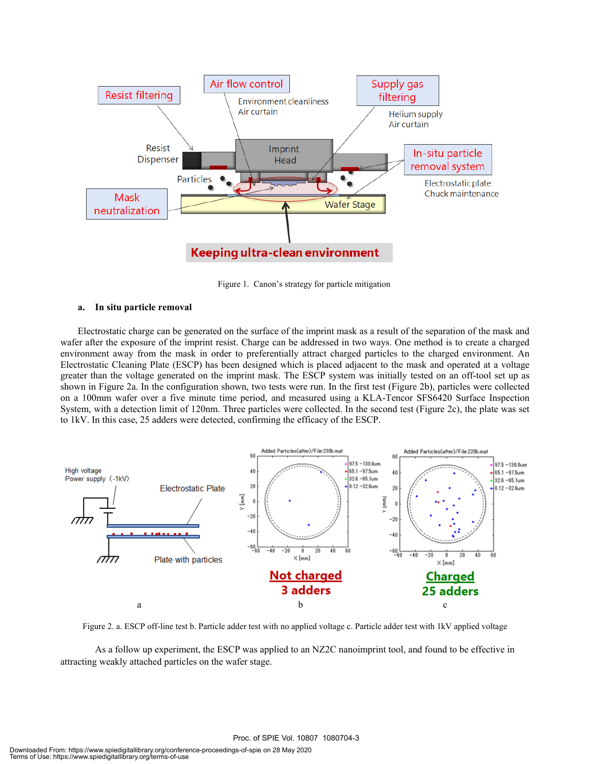

Figure 1. Canon's strategy for particle mitigation

#### **a. In situ particle removal**

 Electrostatic charge can be generated on the surface of the imprint mask as a result of the separation of the mask and wafer after the exposure of the imprint resist. Charge can be addressed in two ways. One method is to create a charged environment away from the mask in order to preferentially attract charged particles to the charged environment. An Electrostatic Cleaning Plate (ESCP) has been designed which is placed adjacent to the mask and operated at a voltage greater than the voltage generated on the imprint mask. The ESCP system was initially tested on an off-tool set up as shown in Figure 2a. In the configuration shown, two tests were run. In the first test (Figure 2b), particles were collected on a 100mm wafer over a five minute time period, and measured using a KLA-Tencor SFS6420 Surface Inspection System, with a detection limit of 120nm. Three particles were collected. In the second test (Figure 2c), the plate was set to 1kV. In this case, 25 adders were detected, confirming the efficacy of the ESCP.



Figure 2. a. ESCP off-line test b. Particle adder test with no applied voltage c. Particle adder test with 1kV applied voltage

 As a follow up experiment, the ESCP was applied to an NZ2C nanoimprint tool, and found to be effective in attracting weakly attached particles on the wafer stage.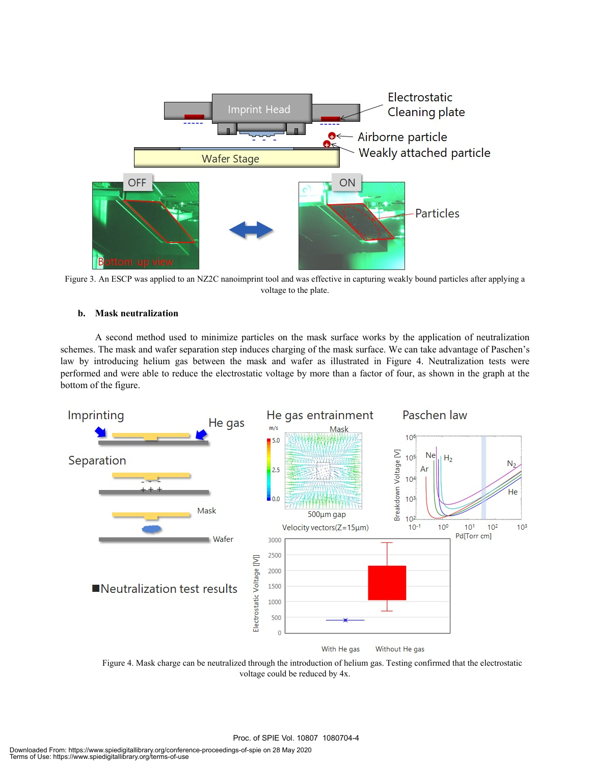

Figure 3. An ESCP was applied to an NZ2C nanoimprint tool and was effective in capturing weakly bound particles after applying a voltage to the plate.

# **b. Mask neutralization**

A second method used to minimize particles on the mask surface works by the application of neutralization schemes. The mask and wafer separation step induces charging of the mask surface. We can take advantage of Paschen's law by introducing helium gas between the mask and wafer as illustrated in Figure 4. Neutralization tests were performed and were able to reduce the electrostatic voltage by more than a factor of four, as shown in the graph at the bottom of the figure.



Figure 4. Mask charge can be neutralized through the introduction of helium gas. Testing confirmed that the electrostatic voltage could be reduced by 4x.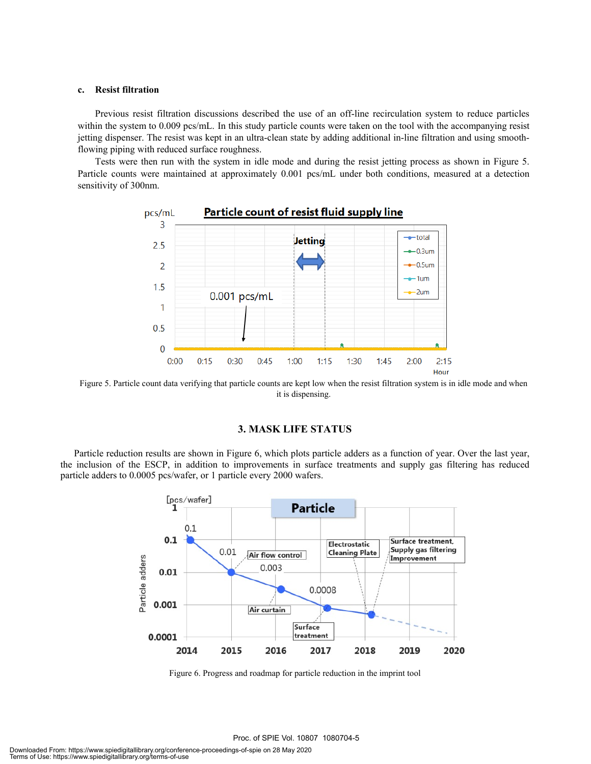## **c. Resist filtration**

Previous resist filtration discussions described the use of an off-line recirculation system to reduce particles within the system to 0.009 pcs/mL. In this study particle counts were taken on the tool with the accompanying resist jetting dispenser. The resist was kept in an ultra-clean state by adding additional in-line filtration and using smoothflowing piping with reduced surface roughness.

 Tests were then run with the system in idle mode and during the resist jetting process as shown in Figure 5. Particle counts were maintained at approximately 0.001 pcs/mL under both conditions, measured at a detection sensitivity of 300nm.



Figure 5. Particle count data verifying that particle counts are kept low when the resist filtration system is in idle mode and when it is dispensing.

# **3. MASK LIFE STATUS**

Particle reduction results are shown in Figure 6, which plots particle adders as a function of year. Over the last year, the inclusion of the ESCP, in addition to improvements in surface treatments and supply gas filtering has reduced particle adders to 0.0005 pcs/wafer, or 1 particle every 2000 wafers.



Figure 6. Progress and roadmap for particle reduction in the imprint tool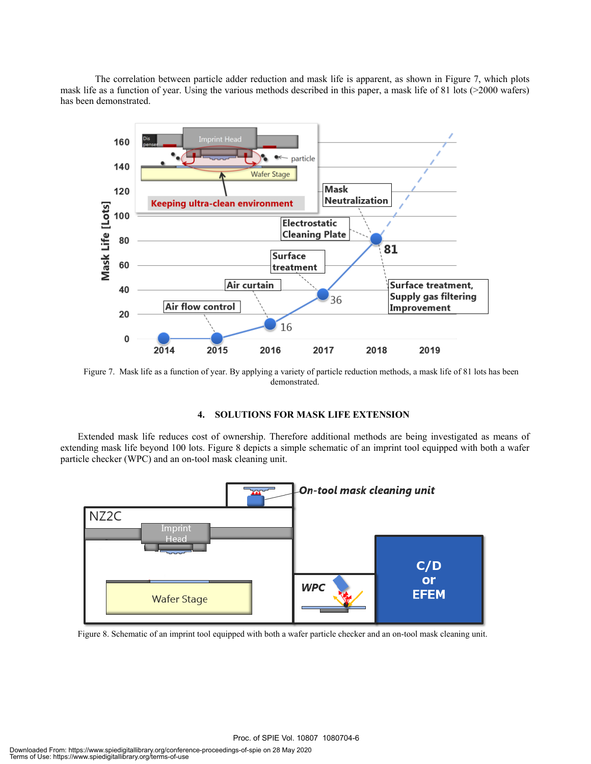The correlation between particle adder reduction and mask life is apparent, as shown in Figure 7, which plots mask life as a function of year. Using the various methods described in this paper, a mask life of 81 lots (>2000 wafers) has been demonstrated.



Figure 7. Mask life as a function of year. By applying a variety of particle reduction methods, a mask life of 81 lots has been demonstrated.

## **4. SOLUTIONS FOR MASK LIFE EXTENSION**

Extended mask life reduces cost of ownership. Therefore additional methods are being investigated as means of extending mask life beyond 100 lots. Figure 8 depicts a simple schematic of an imprint tool equipped with both a wafer particle checker (WPC) and an on-tool mask cleaning unit.



Figure 8. Schematic of an imprint tool equipped with both a wafer particle checker and an on-tool mask cleaning unit.

Proc. of SPIE Vol. 10807 1080704-6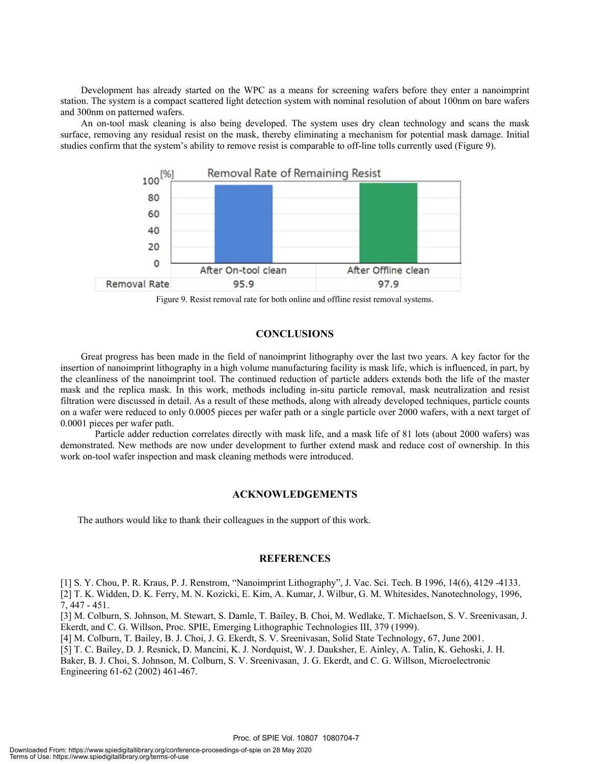Development has already started on the WPC as a means for screening wafers before they enter a nanoimprint station. The system is a compact scattered light detection system with nominal resolution of about 100nm on bare wafers and 300nm on patterned wafers.

An on-tool mask cleaning is also being developed. The system uses dry clean technology and scans the mask surface, removing any residual resist on the mask, thereby eliminating a mechanism for potential mask damage. Initial studies confirm that the system's ability to remove resist is comparable to off-line tolls currently used (Figure 9).



Figure 9. Resist removal rate for both online and offline resist removal systems.

## **CONCLUSIONS**

Great progress has been made in the field of nanoimprint lithography over the last two years. A key factor for the insertion of nanoimprint lithography in a high volume manufacturing facility is mask life, which is influenced, in part, by the cleanliness of the nanoimprint tool. The continued reduction of particle adders extends both the life of the master mask and the replica mask. In this work, methods including in-situ particle removal, mask neutralization and resist filtration were discussed in detail. As a result of these methods, along with already developed techniques, particle counts on a wafer were reduced to only 0.0005 pieces per wafer path or a single particle over 2000 wafers, with a next target of 0.0001 pieces per wafer path.

 Particle adder reduction correlates directly with mask life, and a mask life of 81 lots (about 2000 wafers) was demonstrated. New methods are now under development to further extend mask and reduce cost of ownership. In this work on-tool wafer inspection and mask cleaning methods were introduced.

### **ACKNOWLEDGEMENTS**

The authors would like to thank their colleagues in the support of this work.

#### **REFERENCES**

[1] S. Y. Chou, P. R. Kraus, P. J. Renstrom, "Nanoimprint Lithography", J. Vac. Sci. Tech. B 1996, 14(6), 4129 -4133. [2] T. K. Widden, D. K. Ferry, M. N. Kozicki, E. Kim, A. Kumar, J. Wilbur, G. M. Whitesides, Nanotechnology, 1996, 7, 447 - 451.

[3] M. Colburn, S. Johnson, M. Stewart, S. Damle, T. Bailey, B. Choi, M. Wedlake, T. Michaelson, S. V. Sreenivasan, J. Ekerdt, and C. G. Willson, Proc. SPIE, Emerging Lithographic Technologies III, 379 (1999).

[4] M. Colburn, T. Bailey, B. J. Choi, J. G. Ekerdt, S. V. Sreenivasan, Solid State Technology, 67, June 2001.

[5] T. C. Bailey, D. J. Resnick, D. Mancini, K. J. Nordquist, W. J. Dauksher, E. Ainley, A. Talin, K. Gehoski, J. H. Baker, B. J. Choi, S. Johnson, M. Colburn, S. V. Sreenivasan, J. G. Ekerdt, and C. G. Willson, Microelectronic Engineering 61-62 (2002) 461-467.